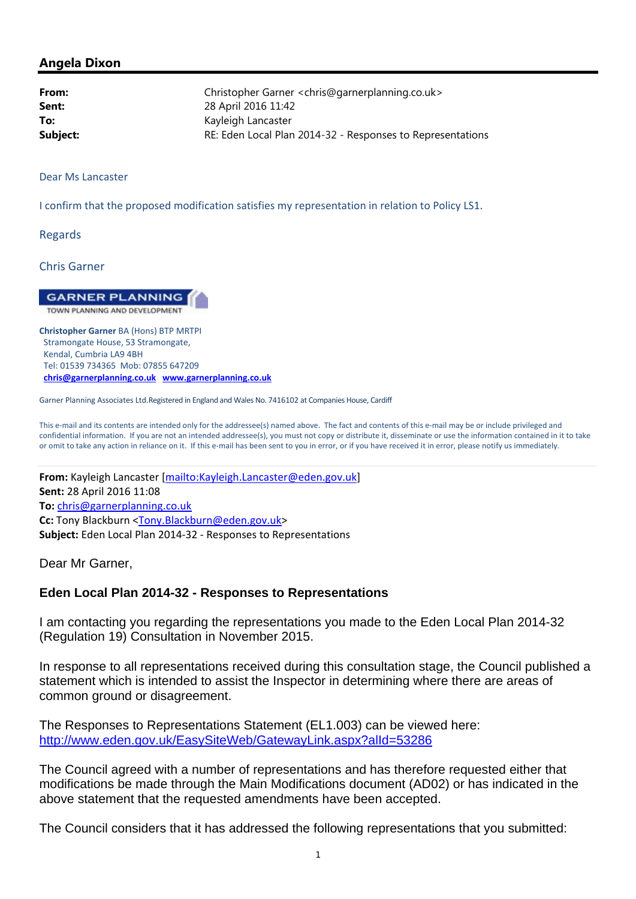## **Angela Dixon**

| From:    | Christopher Garner < chris@garnerplanning.co.uk>           |
|----------|------------------------------------------------------------|
| Sent:    | 28 April 2016 11:42                                        |
| To:      | Kayleigh Lancaster                                         |
| Subject: | RE: Eden Local Plan 2014-32 - Responses to Representations |
|          |                                                            |

Dear Ms Lancaster

I confirm that the proposed modification satisfies my representation in relation to Policy LS1.

Regards

Chris Garner

**GARNER PLANNING** TOWN PLANNING AND DEVELOPMENT

 **Christopher Garner** BA (Hons) BTP MRTPI Stramongate House, 53 Stramongate, Kendal, Cumbria LA9 4BH Tel: 01539 734365 Mob: 07855 647209 **chris@garnerplanning.co.uk www.garnerplanning.co.uk**

Garner Planning Associates Ltd.Registered in England and Wales No. 7416102 at Companies House, Cardiff

 This e‐mail and its contents are intended only for the addressee(s) named above. The fact and contents of this e‐mail may be or include privileged and confidential information. If you are not an intended addressee(s), you must not copy or distribute it, disseminate or use the information contained in it to take or omit to take any action in reliance on it. If this e‐mail has been sent to you in error, or if you have received it in error, please notify us immediately.

 **From:** Kayleigh Lancaster [mailto:Kayleigh.Lancaster@eden.gov.uk] **Sent:** 28 April 2016 11:08 **Cc:** Tony Blackburn <Tony.Blackburn@eden.gov.uk> **Subject:** Eden Local Plan 2014‐32 ‐ Responses to Representations **To:** chris@garnerplanning.co.uk

Dear Mr Garner,

## **Eden Local Plan 2014-32 - Responses to Representations**

I am contacting you regarding the representations you made to the Eden Local Plan 2014-32 (Regulation 19) Consultation in November 2015.

In response to all representations received during this consultation stage, the Council published a statement which is intended to assist the Inspector in determining where there are areas of common ground or disagreement.

The Responses to Representations Statement (EL1.003) can be viewed here: http://www.eden.gov.uk/EasySiteWeb/GatewayLink.aspx?alId=53286

The Council agreed with a number of representations and has therefore requested either that modifications be made through the Main Modifications document (AD02) or has indicated in the above statement that the requested amendments have been accepted.

The Council considers that it has addressed the following representations that you submitted: